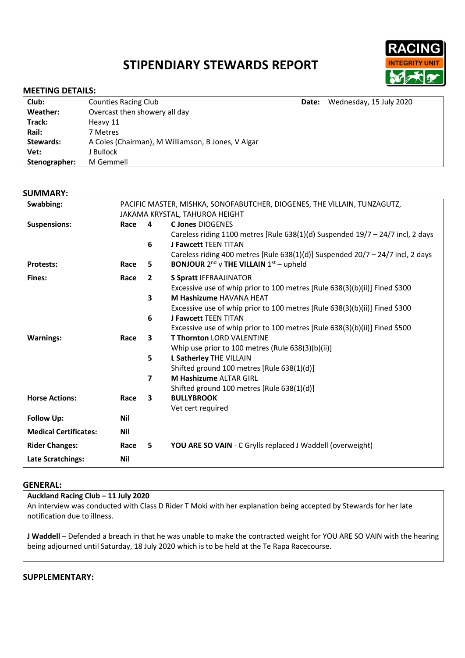# **STIPENDIARY STEWARDS REPORT**



## **MEETING DETAILS:**

| Club:         | <b>Counties Racing Club</b>                        | Date: | Wednesday, 15 July 2020 |  |
|---------------|----------------------------------------------------|-------|-------------------------|--|
| Weather:      | Overcast then showery all day                      |       |                         |  |
| Track:        | Heavy 11                                           |       |                         |  |
| Rail:         | 7 Metres                                           |       |                         |  |
| Stewards:     | A Coles (Chairman), M Williamson, B Jones, V Algar |       |                         |  |
| Vet:          | J Bullock                                          |       |                         |  |
| Stenographer: | M Gemmell                                          |       |                         |  |
|               |                                                    |       |                         |  |

### **SUMMARY:**

| Swabbing:                    | PACIFIC MASTER, MISHKA, SONOFABUTCHER, DIOGENES, THE VILLAIN, TUNZAGUTZ, |                         |                                                                                  |  |  |
|------------------------------|--------------------------------------------------------------------------|-------------------------|----------------------------------------------------------------------------------|--|--|
|                              | JAKAMA KRYSTAL, TAHUROA HEIGHT                                           |                         |                                                                                  |  |  |
| <b>Suspensions:</b>          | Race                                                                     | 4                       | <b>C Jones DIOGENES</b>                                                          |  |  |
|                              |                                                                          |                         | Careless riding 1100 metres [Rule 638(1)(d) Suspended $19/7 - 24/7$ incl, 2 days |  |  |
|                              |                                                                          | 6                       | <b>J Fawcett TEEN TITAN</b>                                                      |  |  |
|                              |                                                                          |                         | Careless riding 400 metres [Rule 638(1)(d)] Suspended $20/7 - 24/7$ incl, 2 days |  |  |
| <b>Protests:</b>             | Race                                                                     | 5.                      | <b>BONJOUR</b> 2 <sup>nd</sup> v THE VILLAIN $1st$ – upheld                      |  |  |
| Fines:                       | Race                                                                     | $\mathbf{2}$            | <b>S Spratt IFFRAAJINATOR</b>                                                    |  |  |
|                              |                                                                          |                         | Excessive use of whip prior to 100 metres [Rule 638(3)(b)(ii)] Fined \$300       |  |  |
|                              |                                                                          | $\overline{\mathbf{3}}$ | M Hashizume HAVANA HEAT                                                          |  |  |
|                              |                                                                          |                         | Excessive use of whip prior to 100 metres [Rule 638(3)(b)(ii)] Fined \$300       |  |  |
|                              |                                                                          | 6                       | <b>J Fawcett TEEN TITAN</b>                                                      |  |  |
|                              |                                                                          |                         | Excessive use of whip prior to 100 metres [Rule 638(3)(b)(ii)] Fined \$500       |  |  |
| <b>Warnings:</b>             | Race                                                                     | $\overline{\mathbf{3}}$ | <b>T Thornton LORD VALENTINE</b>                                                 |  |  |
|                              |                                                                          |                         | Whip use prior to 100 metres (Rule 638(3)(b)(ii)]                                |  |  |
|                              |                                                                          | 5                       | L Satherley THE VILLAIN                                                          |  |  |
|                              |                                                                          |                         | Shifted ground 100 metres [Rule 638(1)(d)]                                       |  |  |
|                              |                                                                          | $\overline{ }$          | <b>M Hashizume ALTAR GIRL</b>                                                    |  |  |
|                              |                                                                          |                         | Shifted ground 100 metres [Rule 638(1)(d)]                                       |  |  |
| <b>Horse Actions:</b>        | Race                                                                     | 3                       | <b>BULLYBROOK</b>                                                                |  |  |
|                              |                                                                          |                         | Vet cert required                                                                |  |  |
| <b>Follow Up:</b>            | Nil                                                                      |                         |                                                                                  |  |  |
| <b>Medical Certificates:</b> | <b>Nil</b>                                                               |                         |                                                                                  |  |  |
| <b>Rider Changes:</b>        | Race                                                                     | 5                       | YOU ARE SO VAIN - C Grylls replaced J Waddell (overweight)                       |  |  |
| <b>Late Scratchings:</b>     | Nil                                                                      |                         |                                                                                  |  |  |

#### **GENERAL:**

## **Auckland Racing Club – 11 July 2020**

An interview was conducted with Class D Rider T Moki with her explanation being accepted by Stewards for her late notification due to illness.

**J Waddell** – Defended a breach in that he was unable to make the contracted weight for YOU ARE SO VAIN with the hearing being adjourned until Saturday, 18 July 2020 which is to be held at the Te Rapa Racecourse.

## **SUPPLEMENTARY:**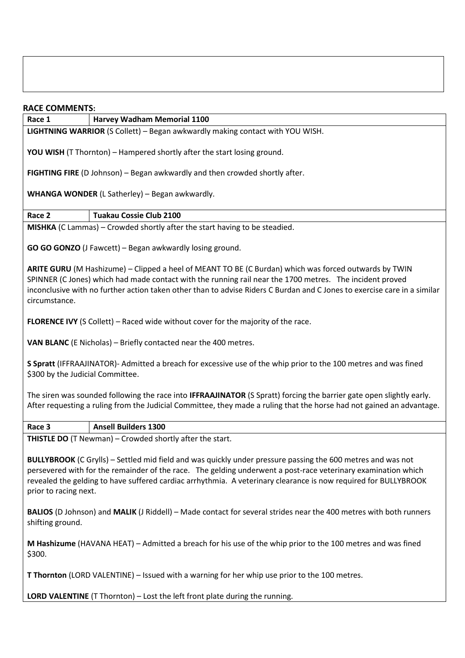## **RACE COMMENTS:**

**Race 1 Harvey Wadham Memorial 1100** 

**LIGHTNING WARRIOR** (S Collett) – Began awkwardly making contact with YOU WISH.

**YOU WISH** (T Thornton) – Hampered shortly after the start losing ground.

**FIGHTING FIRE** (D Johnson) – Began awkwardly and then crowded shortly after.

**WHANGA WONDER** (L Satherley) – Began awkwardly.

**Race 2 Tuakau Cossie Club 2100** 

**MISHKA** (C Lammas) – Crowded shortly after the start having to be steadied.

**GO GO GONZO** (J Fawcett) – Began awkwardly losing ground.

**ARITE GURU** (M Hashizume) – Clipped a heel of MEANT TO BE (C Burdan) which was forced outwards by TWIN SPINNER (C Jones) which had made contact with the running rail near the 1700 metres. The incident proved inconclusive with no further action taken other than to advise Riders C Burdan and C Jones to exercise care in a similar circumstance.

**FLORENCE IVY** (S Collett) – Raced wide without cover for the majority of the race.

**VAN BLANC** (E Nicholas) – Briefly contacted near the 400 metres.

**S Spratt** (IFFRAAJINATOR)- Admitted a breach for excessive use of the whip prior to the 100 metres and was fined \$300 by the Judicial Committee.

The siren was sounded following the race into **IFFRAAJINATOR** (S Spratt) forcing the barrier gate open slightly early. After requesting a ruling from the Judicial Committee, they made a ruling that the horse had not gained an advantage.

**Race 3 Ansell Builders 1300** 

**THISTLE DO** (T Newman) – Crowded shortly after the start.

**BULLYBROOK** (C Grylls) – Settled mid field and was quickly under pressure passing the 600 metres and was not persevered with for the remainder of the race. The gelding underwent a post-race veterinary examination which revealed the gelding to have suffered cardiac arrhythmia. A veterinary clearance is now required for BULLYBROOK prior to racing next.

**BALIOS** (D Johnson) and **MALIK** (J Riddell) – Made contact for several strides near the 400 metres with both runners shifting ground.

**M Hashizume** (HAVANA HEAT) – Admitted a breach for his use of the whip prior to the 100 metres and was fined \$300.

**T Thornton** (LORD VALENTINE) – Issued with a warning for her whip use prior to the 100 metres.

**LORD VALENTINE** (T Thornton) – Lost the left front plate during the running.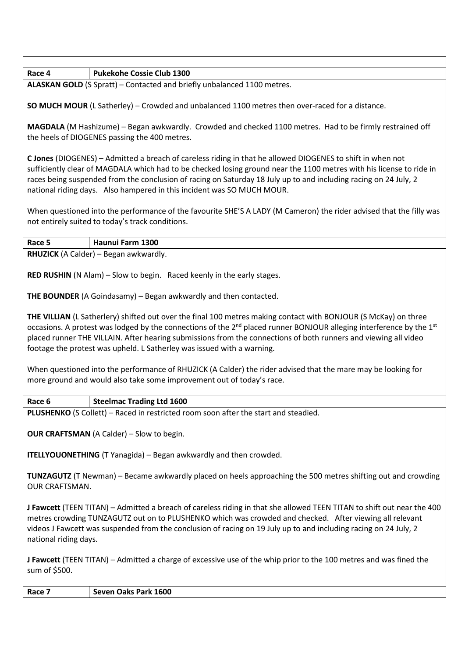**Race 4 Pukekohe Cossie Club 1300** 

**ALASKAN GOLD** (S Spratt) – Contacted and briefly unbalanced 1100 metres.

**SO MUCH MOUR** (L Satherley) – Crowded and unbalanced 1100 metres then over-raced for a distance.

**MAGDALA** (M Hashizume) – Began awkwardly. Crowded and checked 1100 metres. Had to be firmly restrained off the heels of DIOGENES passing the 400 metres.

**C Jones** (DIOGENES) – Admitted a breach of careless riding in that he allowed DIOGENES to shift in when not sufficiently clear of MAGDALA which had to be checked losing ground near the 1100 metres with his license to ride in races being suspended from the conclusion of racing on Saturday 18 July up to and including racing on 24 July, 2 national riding days. Also hampered in this incident was SO MUCH MOUR.

When questioned into the performance of the favourite SHE'S A LADY (M Cameron) the rider advised that the filly was not entirely suited to today's track conditions.

**Race 5 Haunui Farm 1300** 

**RHUZICK** (A Calder) – Began awkwardly.

**RED RUSHIN** (N Alam) – Slow to begin. Raced keenly in the early stages.

**THE BOUNDER** (A Goindasamy) – Began awkwardly and then contacted.

**THE VILLIAN** (L Satherlery) shifted out over the final 100 metres making contact with BONJOUR (S McKay) on three occasions. A protest was lodged by the connections of the 2<sup>nd</sup> placed runner BONJOUR alleging interference by the 1<sup>st</sup> placed runner THE VILLAIN. After hearing submissions from the connections of both runners and viewing all video footage the protest was upheld. L Satherley was issued with a warning.

When questioned into the performance of RHUZICK (A Calder) the rider advised that the mare may be looking for more ground and would also take some improvement out of today's race.

**Race 6 Steelmac Trading Ltd 1600** 

**PLUSHENKO** (S Collett) – Raced in restricted room soon after the start and steadied.

**OUR CRAFTSMAN** (A Calder) – Slow to begin.

**ITELLYOUONETHING** (T Yanagida) – Began awkwardly and then crowded.

**TUNZAGUTZ** (T Newman) – Became awkwardly placed on heels approaching the 500 metres shifting out and crowding OUR CRAFTSMAN.

**J Fawcett** (TEEN TITAN) – Admitted a breach of careless riding in that she allowed TEEN TITAN to shift out near the 400 metres crowding TUNZAGUTZ out on to PLUSHENKO which was crowded and checked. After viewing all relevant videos J Fawcett was suspended from the conclusion of racing on 19 July up to and including racing on 24 July, 2 national riding days.

**J Fawcett** (TEEN TITAN) – Admitted a charge of excessive use of the whip prior to the 100 metres and was fined the sum of \$500.

**Race 7 Seven Oaks Park 1600**